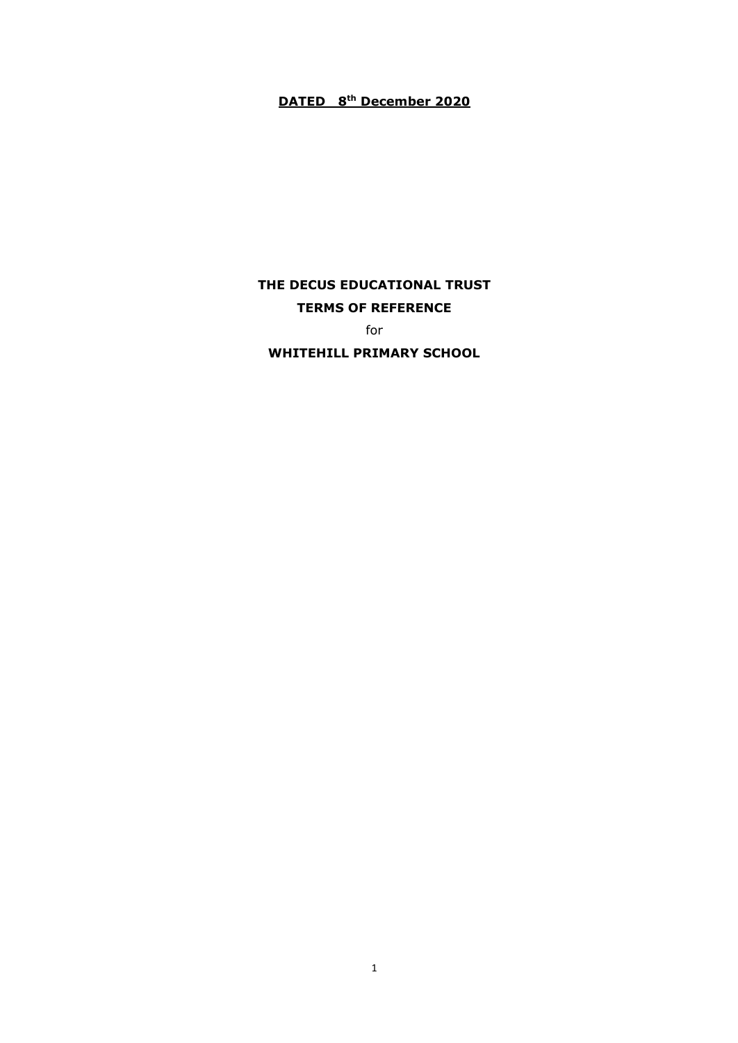# **DATED 8th December 2020**

# **THE DECUS EDUCATIONAL TRUST TERMS OF REFERENCE**

for

**WHITEHILL PRIMARY SCHOOL**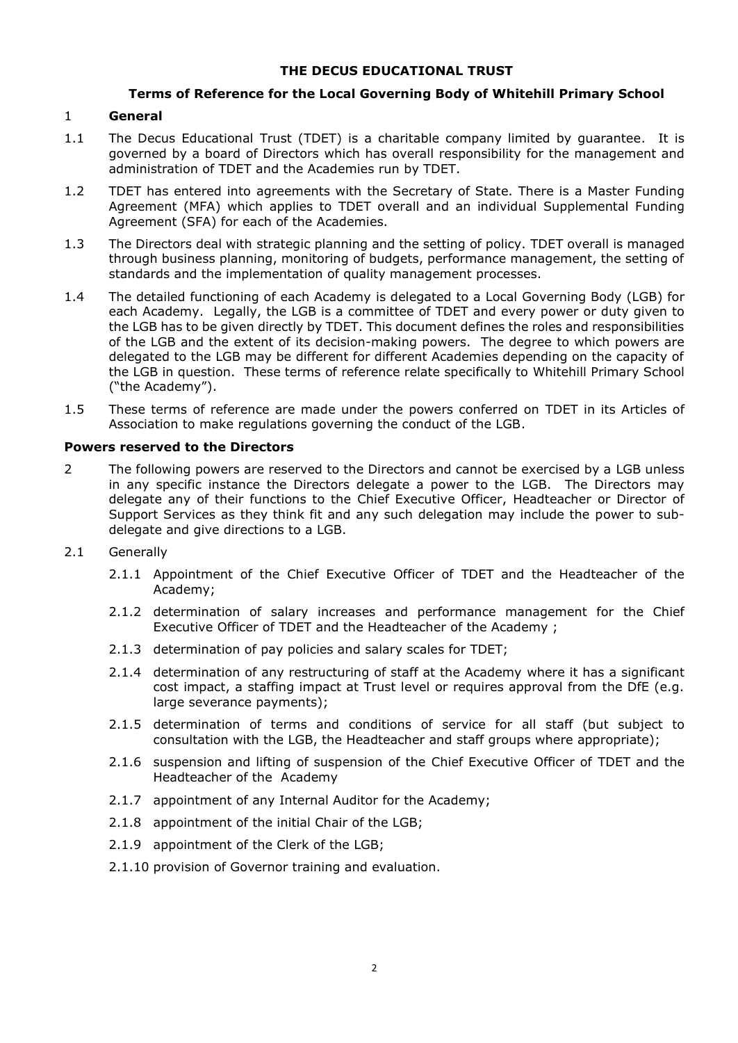# **THE DECUS EDUCATIONAL TRUST**

# **Terms of Reference for the Local Governing Body of Whitehill Primary School**

#### 1 **General**

- 1.1 The Decus Educational Trust (TDET) is a charitable company limited by guarantee. It is governed by a board of Directors which has overall responsibility for the management and administration of TDET and the Academies run by TDET.
- 1.2 TDET has entered into agreements with the Secretary of State. There is a Master Funding Agreement (MFA) which applies to TDET overall and an individual Supplemental Funding Agreement (SFA) for each of the Academies.
- 1.3 The Directors deal with strategic planning and the setting of policy. TDET overall is managed through business planning, monitoring of budgets, performance management, the setting of standards and the implementation of quality management processes.
- 1.4 The detailed functioning of each Academy is delegated to a Local Governing Body (LGB) for each Academy. Legally, the LGB is a committee of TDET and every power or duty given to the LGB has to be given directly by TDET. This document defines the roles and responsibilities of the LGB and the extent of its decision-making powers. The degree to which powers are delegated to the LGB may be different for different Academies depending on the capacity of the LGB in question. These terms of reference relate specifically to Whitehill Primary School ("the Academy").
- 1.5 These terms of reference are made under the powers conferred on TDET in its Articles of Association to make regulations governing the conduct of the LGB.

#### **Powers reserved to the Directors**

- 2 The following powers are reserved to the Directors and cannot be exercised by a LGB unless in any specific instance the Directors delegate a power to the LGB. The Directors may delegate any of their functions to the Chief Executive Officer, Headteacher or Director of Support Services as they think fit and any such delegation may include the power to subdelegate and give directions to a LGB.
- 2.1 Generally
	- 2.1.1 Appointment of the Chief Executive Officer of TDET and the Headteacher of the Academy;
	- 2.1.2 determination of salary increases and performance management for the Chief Executive Officer of TDET and the Headteacher of the Academy ;
	- 2.1.3 determination of pay policies and salary scales for TDET;
	- 2.1.4 determination of any restructuring of staff at the Academy where it has a significant cost impact, a staffing impact at Trust level or requires approval from the DfE (e.g. large severance payments);
	- 2.1.5 determination of terms and conditions of service for all staff (but subject to consultation with the LGB, the Headteacher and staff groups where appropriate);
	- 2.1.6 suspension and lifting of suspension of the Chief Executive Officer of TDET and the Headteacher of the Academy
	- 2.1.7 appointment of any Internal Auditor for the Academy;
	- 2.1.8 appointment of the initial Chair of the LGB;
	- 2.1.9 appointment of the Clerk of the LGB;
	- 2.1.10 provision of Governor training and evaluation.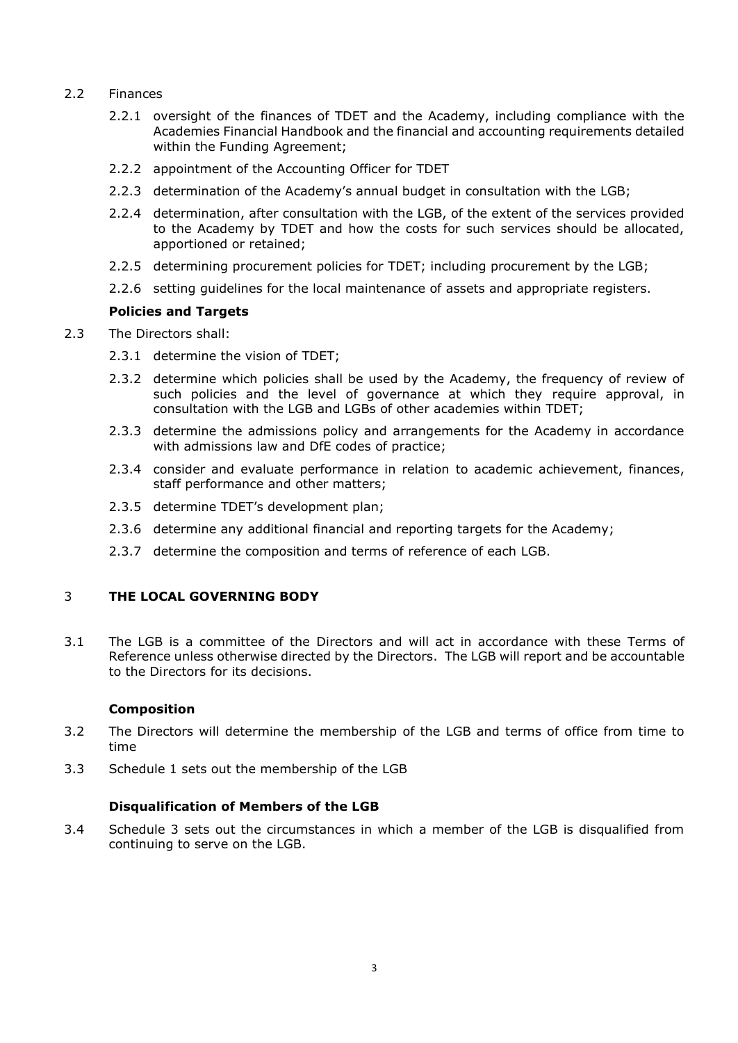- 2.2 Finances
	- 2.2.1 oversight of the finances of TDET and the Academy, including compliance with the Academies Financial Handbook and the financial and accounting requirements detailed within the Funding Agreement;
	- 2.2.2 appointment of the Accounting Officer for TDET
	- 2.2.3 determination of the Academy's annual budget in consultation with the LGB;
	- 2.2.4 determination, after consultation with the LGB, of the extent of the services provided to the Academy by TDET and how the costs for such services should be allocated, apportioned or retained;
	- 2.2.5 determining procurement policies for TDET; including procurement by the LGB;
	- 2.2.6 setting guidelines for the local maintenance of assets and appropriate registers.

# **Policies and Targets**

- 2.3 The Directors shall:
	- 2.3.1 determine the vision of TDET;
	- 2.3.2 determine which policies shall be used by the Academy, the frequency of review of such policies and the level of governance at which they require approval, in consultation with the LGB and LGBs of other academies within TDET;
	- 2.3.3 determine the admissions policy and arrangements for the Academy in accordance with admissions law and DfE codes of practice;
	- 2.3.4 consider and evaluate performance in relation to academic achievement, finances, staff performance and other matters;
	- 2.3.5 determine TDET's development plan;
	- 2.3.6 determine any additional financial and reporting targets for the Academy;
	- 2.3.7 determine the composition and terms of reference of each LGB.

# 3 **THE LOCAL GOVERNING BODY**

3.1 The LGB is a committee of the Directors and will act in accordance with these Terms of Reference unless otherwise directed by the Directors. The LGB will report and be accountable to the Directors for its decisions.

#### **Composition**

- 3.2 The Directors will determine the membership of the LGB and terms of office from time to time
- 3.3 Schedule 1 sets out the membership of the LGB

# **Disqualification of Members of the LGB**

3.4 Schedule 3 sets out the circumstances in which a member of the LGB is disqualified from continuing to serve on the LGB.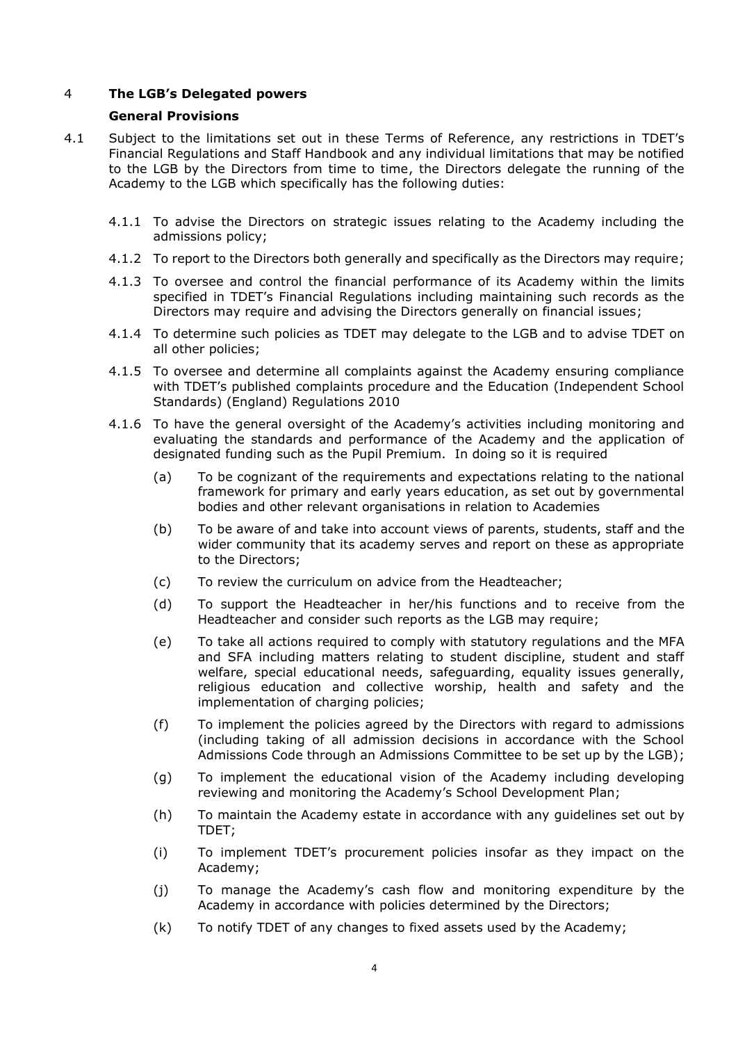# 4 **The LGB's Delegated powers**

#### **General Provisions**

- 4.1 Subject to the limitations set out in these Terms of Reference, any restrictions in TDET's Financial Regulations and Staff Handbook and any individual limitations that may be notified to the LGB by the Directors from time to time, the Directors delegate the running of the Academy to the LGB which specifically has the following duties:
	- 4.1.1 To advise the Directors on strategic issues relating to the Academy including the admissions policy;
	- 4.1.2 To report to the Directors both generally and specifically as the Directors may require;
	- 4.1.3 To oversee and control the financial performance of its Academy within the limits specified in TDET's Financial Regulations including maintaining such records as the Directors may require and advising the Directors generally on financial issues;
	- 4.1.4 To determine such policies as TDET may delegate to the LGB and to advise TDET on all other policies;
	- 4.1.5 To oversee and determine all complaints against the Academy ensuring compliance with TDET's published complaints procedure and the Education (Independent School Standards) (England) Regulations 2010
	- 4.1.6 To have the general oversight of the Academy's activities including monitoring and evaluating the standards and performance of the Academy and the application of designated funding such as the Pupil Premium. In doing so it is required
		- (a) To be cognizant of the requirements and expectations relating to the national framework for primary and early years education, as set out by governmental bodies and other relevant organisations in relation to Academies
		- (b) To be aware of and take into account views of parents, students, staff and the wider community that its academy serves and report on these as appropriate to the Directors;
		- (c) To review the curriculum on advice from the Headteacher;
		- (d) To support the Headteacher in her/his functions and to receive from the Headteacher and consider such reports as the LGB may require;
		- (e) To take all actions required to comply with statutory regulations and the MFA and SFA including matters relating to student discipline, student and staff welfare, special educational needs, safeguarding, equality issues generally, religious education and collective worship, health and safety and the implementation of charging policies;
		- (f) To implement the policies agreed by the Directors with regard to admissions (including taking of all admission decisions in accordance with the School Admissions Code through an Admissions Committee to be set up by the LGB);
		- (g) To implement the educational vision of the Academy including developing reviewing and monitoring the Academy's School Development Plan;
		- (h) To maintain the Academy estate in accordance with any guidelines set out by TDET;
		- (i) To implement TDET's procurement policies insofar as they impact on the Academy;
		- (j) To manage the Academy's cash flow and monitoring expenditure by the Academy in accordance with policies determined by the Directors;
		- (k) To notify TDET of any changes to fixed assets used by the Academy;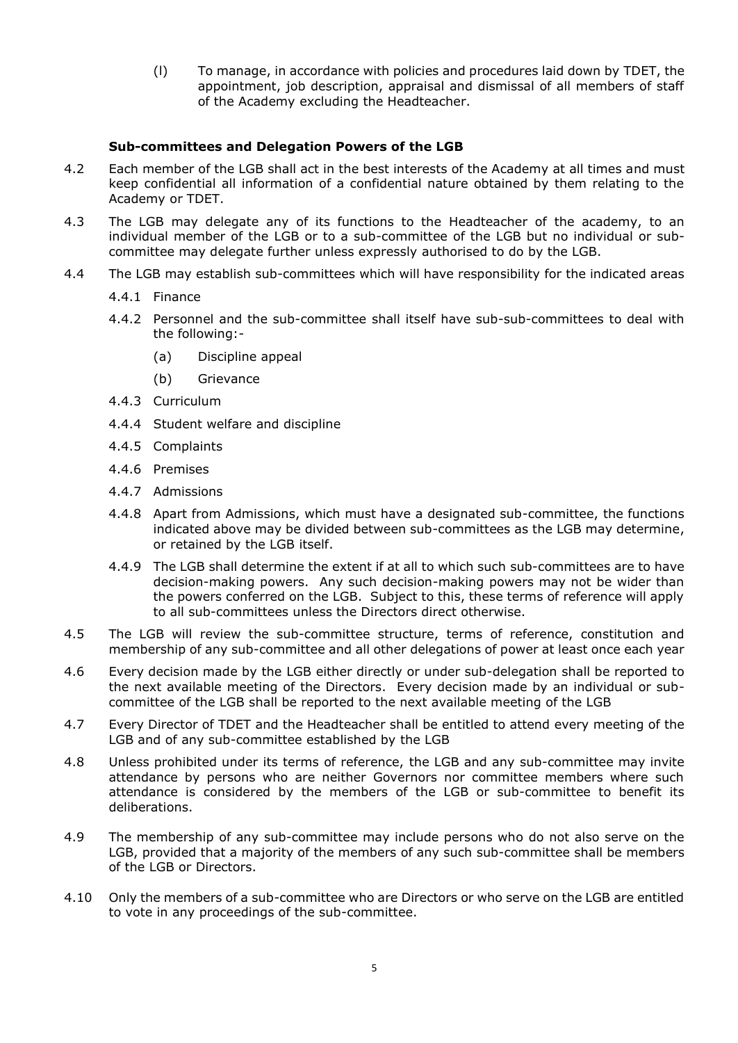(l) To manage, in accordance with policies and procedures laid down by TDET, the appointment, job description, appraisal and dismissal of all members of staff of the Academy excluding the Headteacher.

#### **Sub-committees and Delegation Powers of the LGB**

- 4.2 Each member of the LGB shall act in the best interests of the Academy at all times and must keep confidential all information of a confidential nature obtained by them relating to the Academy or TDET.
- 4.3 The LGB may delegate any of its functions to the Headteacher of the academy, to an individual member of the LGB or to a sub-committee of the LGB but no individual or subcommittee may delegate further unless expressly authorised to do by the LGB.
- 4.4 The LGB may establish sub-committees which will have responsibility for the indicated areas
	- 4.4.1 Finance
	- 4.4.2 Personnel and the sub-committee shall itself have sub-sub-committees to deal with the following:-
		- (a) Discipline appeal
		- (b) Grievance
	- 4.4.3 Curriculum
	- 4.4.4 Student welfare and discipline
	- 4.4.5 Complaints
	- 4.4.6 Premises
	- 4.4.7 Admissions
	- 4.4.8 Apart from Admissions, which must have a designated sub-committee, the functions indicated above may be divided between sub-committees as the LGB may determine, or retained by the LGB itself.
	- 4.4.9 The LGB shall determine the extent if at all to which such sub-committees are to have decision-making powers. Any such decision-making powers may not be wider than the powers conferred on the LGB. Subject to this, these terms of reference will apply to all sub-committees unless the Directors direct otherwise.
- 4.5 The LGB will review the sub-committee structure, terms of reference, constitution and membership of any sub-committee and all other delegations of power at least once each year
- 4.6 Every decision made by the LGB either directly or under sub-delegation shall be reported to the next available meeting of the Directors. Every decision made by an individual or subcommittee of the LGB shall be reported to the next available meeting of the LGB
- 4.7 Every Director of TDET and the Headteacher shall be entitled to attend every meeting of the LGB and of any sub-committee established by the LGB
- 4.8 Unless prohibited under its terms of reference, the LGB and any sub-committee may invite attendance by persons who are neither Governors nor committee members where such attendance is considered by the members of the LGB or sub-committee to benefit its deliberations.
- 4.9 The membership of any sub-committee may include persons who do not also serve on the LGB, provided that a majority of the members of any such sub-committee shall be members of the LGB or Directors.
- 4.10 Only the members of a sub-committee who are Directors or who serve on the LGB are entitled to vote in any proceedings of the sub-committee.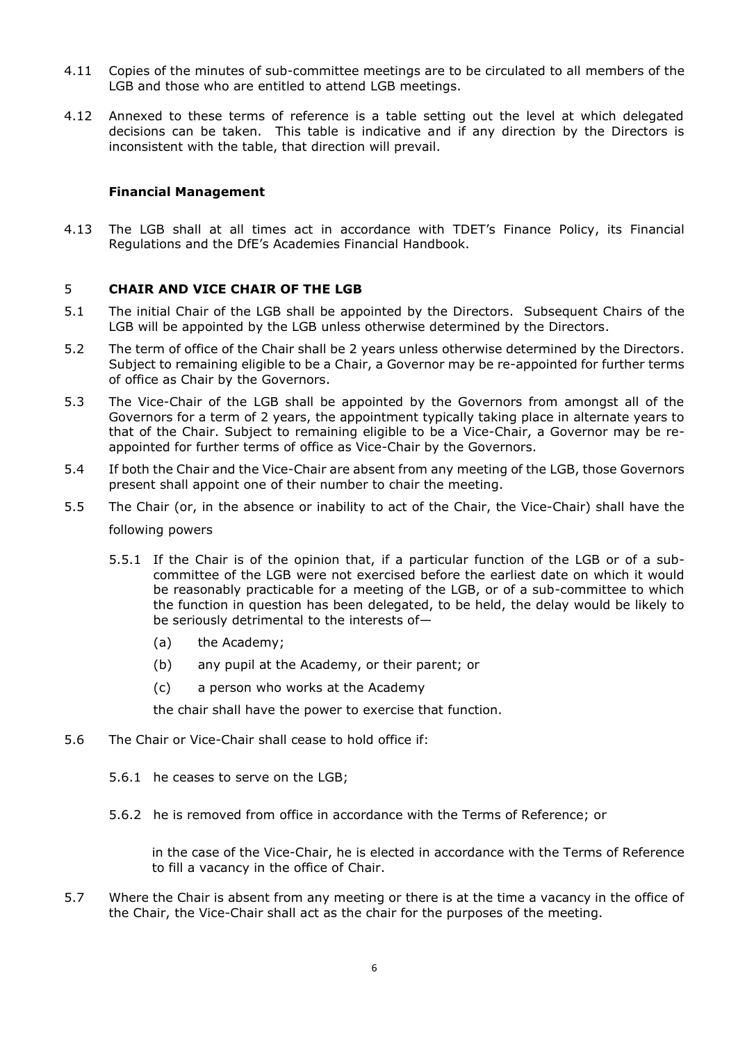- 4.11 Copies of the minutes of sub-committee meetings are to be circulated to all members of the LGB and those who are entitled to attend LGB meetings.
- 4.12 Annexed to these terms of reference is a table setting out the level at which delegated decisions can be taken. This table is indicative and if any direction by the Directors is inconsistent with the table, that direction will prevail.

#### **Financial Management**

4.13 The LGB shall at all times act in accordance with TDET's Finance Policy, its Financial Regulations and the DfE's Academies Financial Handbook.

#### 5 **CHAIR AND VICE CHAIR OF THE LGB**

- 5.1 The initial Chair of the LGB shall be appointed by the Directors. Subsequent Chairs of the LGB will be appointed by the LGB unless otherwise determined by the Directors.
- 5.2 The term of office of the Chair shall be 2 years unless otherwise determined by the Directors. Subject to remaining eligible to be a Chair, a Governor may be re-appointed for further terms of office as Chair by the Governors.
- 5.3 The Vice-Chair of the LGB shall be appointed by the Governors from amongst all of the Governors for a term of 2 years, the appointment typically taking place in alternate years to that of the Chair. Subject to remaining eligible to be a Vice-Chair, a Governor may be reappointed for further terms of office as Vice-Chair by the Governors.
- 5.4 If both the Chair and the Vice-Chair are absent from any meeting of the LGB, those Governors present shall appoint one of their number to chair the meeting.
- 5.5 The Chair (or, in the absence or inability to act of the Chair, the Vice-Chair) shall have the following powers
	- 5.5.1 If the Chair is of the opinion that, if a particular function of the LGB or of a subcommittee of the LGB were not exercised before the earliest date on which it would be reasonably practicable for a meeting of the LGB, or of a sub-committee to which the function in question has been delegated, to be held, the delay would be likely to be seriously detrimental to the interests of—
		- (a) the Academy;
		- (b) any pupil at the Academy, or their parent; or
		- (c) a person who works at the Academy

the chair shall have the power to exercise that function.

- 5.6 The Chair or Vice-Chair shall cease to hold office if:
	- 5.6.1 he ceases to serve on the LGB;
	- 5.6.2 he is removed from office in accordance with the Terms of Reference; or

in the case of the Vice-Chair, he is elected in accordance with the Terms of Reference to fill a vacancy in the office of Chair.

5.7 Where the Chair is absent from any meeting or there is at the time a vacancy in the office of the Chair, the Vice-Chair shall act as the chair for the purposes of the meeting.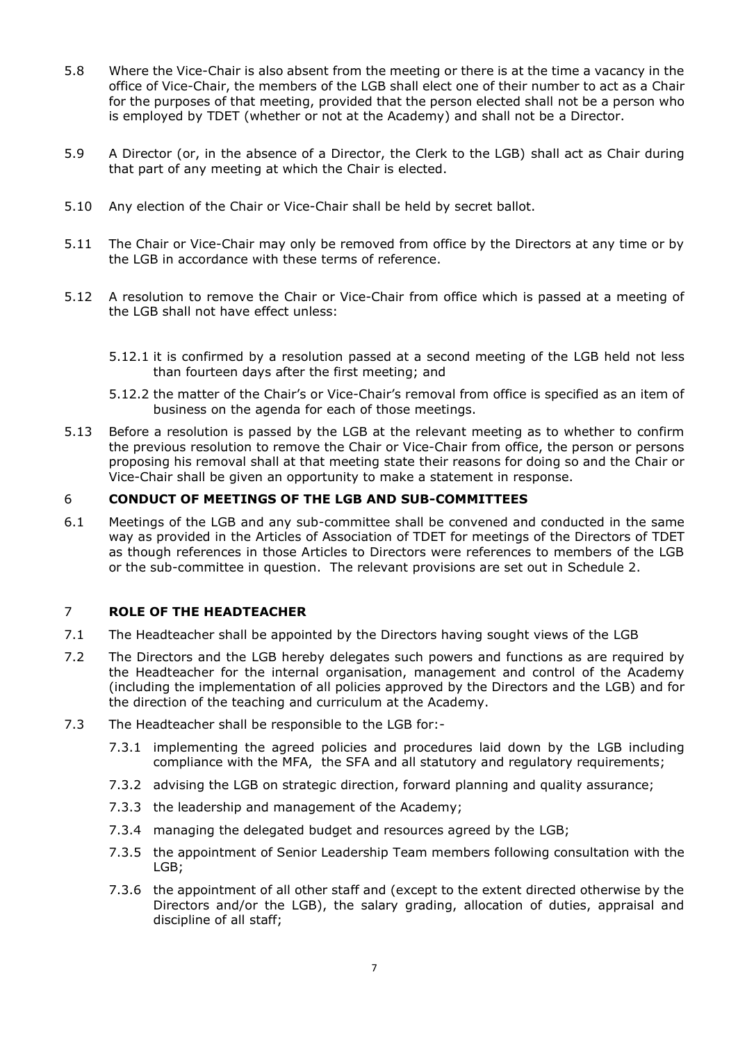- 5.8 Where the Vice-Chair is also absent from the meeting or there is at the time a vacancy in the office of Vice-Chair, the members of the LGB shall elect one of their number to act as a Chair for the purposes of that meeting, provided that the person elected shall not be a person who is employed by TDET (whether or not at the Academy) and shall not be a Director.
- 5.9 A Director (or, in the absence of a Director, the Clerk to the LGB) shall act as Chair during that part of any meeting at which the Chair is elected.
- 5.10 Any election of the Chair or Vice-Chair shall be held by secret ballot.
- 5.11 The Chair or Vice-Chair may only be removed from office by the Directors at any time or by the LGB in accordance with these terms of reference.
- 5.12 A resolution to remove the Chair or Vice-Chair from office which is passed at a meeting of the LGB shall not have effect unless:
	- 5.12.1 it is confirmed by a resolution passed at a second meeting of the LGB held not less than fourteen days after the first meeting; and
	- 5.12.2 the matter of the Chair's or Vice-Chair's removal from office is specified as an item of business on the agenda for each of those meetings.
- 5.13 Before a resolution is passed by the LGB at the relevant meeting as to whether to confirm the previous resolution to remove the Chair or Vice-Chair from office, the person or persons proposing his removal shall at that meeting state their reasons for doing so and the Chair or Vice-Chair shall be given an opportunity to make a statement in response.

#### 6 **CONDUCT OF MEETINGS OF THE LGB AND SUB-COMMITTEES**

6.1 Meetings of the LGB and any sub-committee shall be convened and conducted in the same way as provided in the Articles of Association of TDET for meetings of the Directors of TDET as though references in those Articles to Directors were references to members of the LGB or the sub-committee in question. The relevant provisions are set out in Schedule 2.

#### 7 **ROLE OF THE HEADTEACHER**

- 7.1 The Headteacher shall be appointed by the Directors having sought views of the LGB
- 7.2 The Directors and the LGB hereby delegates such powers and functions as are required by the Headteacher for the internal organisation, management and control of the Academy (including the implementation of all policies approved by the Directors and the LGB) and for the direction of the teaching and curriculum at the Academy.
- 7.3 The Headteacher shall be responsible to the LGB for:-
	- 7.3.1 implementing the agreed policies and procedures laid down by the LGB including compliance with the MFA, the SFA and all statutory and regulatory requirements;
	- 7.3.2 advising the LGB on strategic direction, forward planning and quality assurance;
	- 7.3.3 the leadership and management of the Academy;
	- 7.3.4 managing the delegated budget and resources agreed by the LGB;
	- 7.3.5 the appointment of Senior Leadership Team members following consultation with the LGB;
	- 7.3.6 the appointment of all other staff and (except to the extent directed otherwise by the Directors and/or the LGB), the salary grading, allocation of duties, appraisal and discipline of all staff;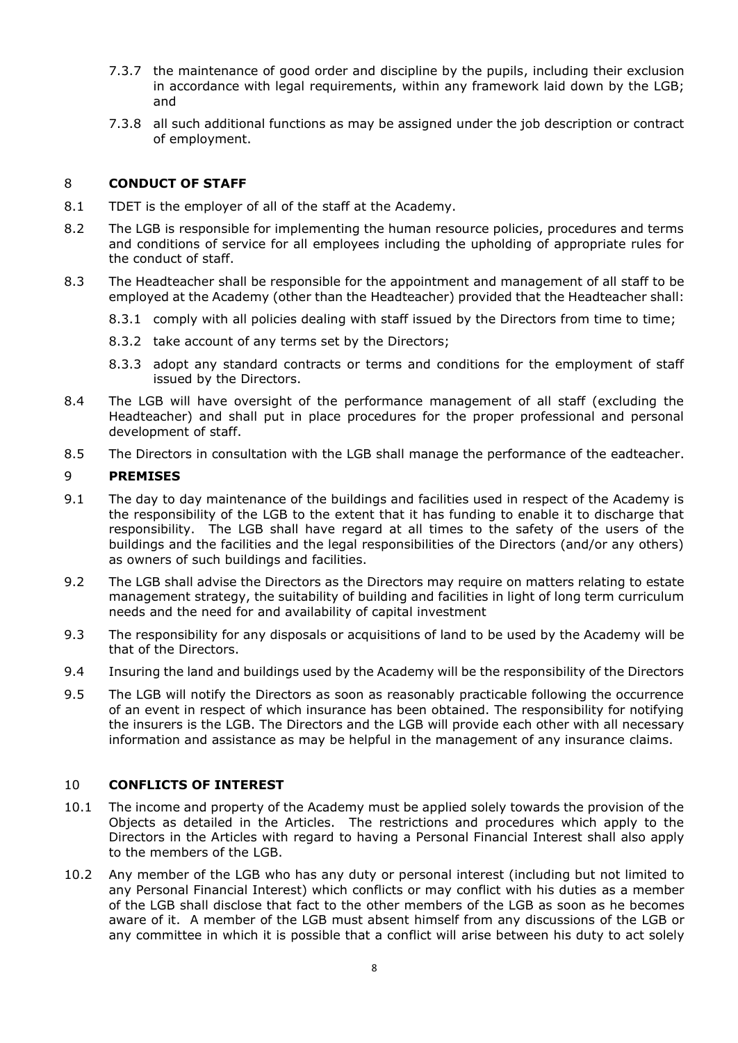- 7.3.7 the maintenance of good order and discipline by the pupils, including their exclusion in accordance with legal requirements, within any framework laid down by the LGB; and
- 7.3.8 all such additional functions as may be assigned under the job description or contract of employment.

# 8 **CONDUCT OF STAFF**

- 8.1 TDET is the employer of all of the staff at the Academy.
- 8.2 The LGB is responsible for implementing the human resource policies, procedures and terms and conditions of service for all employees including the upholding of appropriate rules for the conduct of staff.
- 8.3 The Headteacher shall be responsible for the appointment and management of all staff to be employed at the Academy (other than the Headteacher) provided that the Headteacher shall:
	- 8.3.1 comply with all policies dealing with staff issued by the Directors from time to time;
	- 8.3.2 take account of any terms set by the Directors;
	- 8.3.3 adopt any standard contracts or terms and conditions for the employment of staff issued by the Directors.
- 8.4 The LGB will have oversight of the performance management of all staff (excluding the Headteacher) and shall put in place procedures for the proper professional and personal development of staff.
- 8.5 The Directors in consultation with the LGB shall manage the performance of the eadteacher.

#### 9 **PREMISES**

- 9.1 The day to day maintenance of the buildings and facilities used in respect of the Academy is the responsibility of the LGB to the extent that it has funding to enable it to discharge that responsibility. The LGB shall have regard at all times to the safety of the users of the buildings and the facilities and the legal responsibilities of the Directors (and/or any others) as owners of such buildings and facilities.
- 9.2 The LGB shall advise the Directors as the Directors may require on matters relating to estate management strategy, the suitability of building and facilities in light of long term curriculum needs and the need for and availability of capital investment
- 9.3 The responsibility for any disposals or acquisitions of land to be used by the Academy will be that of the Directors.
- 9.4 Insuring the land and buildings used by the Academy will be the responsibility of the Directors
- 9.5 The LGB will notify the Directors as soon as reasonably practicable following the occurrence of an event in respect of which insurance has been obtained. The responsibility for notifying the insurers is the LGB. The Directors and the LGB will provide each other with all necessary information and assistance as may be helpful in the management of any insurance claims.

# 10 **CONFLICTS OF INTEREST**

- 10.1 The income and property of the Academy must be applied solely towards the provision of the Objects as detailed in the Articles. The restrictions and procedures which apply to the Directors in the Articles with regard to having a Personal Financial Interest shall also apply to the members of the LGB.
- 10.2 Any member of the LGB who has any duty or personal interest (including but not limited to any Personal Financial Interest) which conflicts or may conflict with his duties as a member of the LGB shall disclose that fact to the other members of the LGB as soon as he becomes aware of it. A member of the LGB must absent himself from any discussions of the LGB or any committee in which it is possible that a conflict will arise between his duty to act solely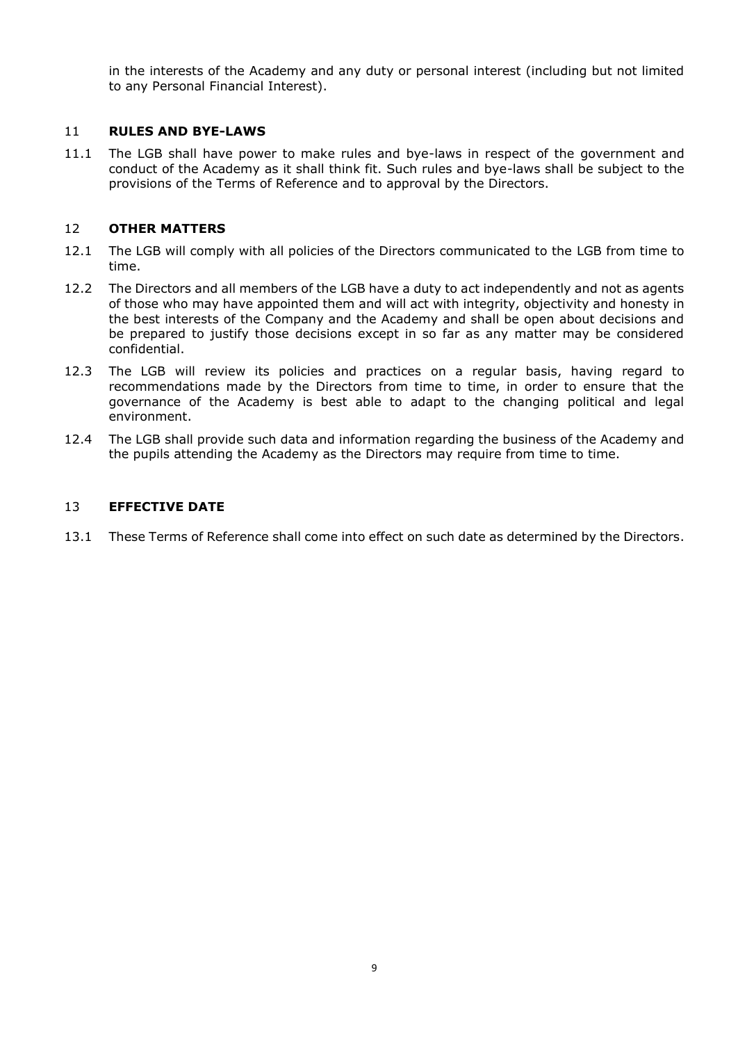in the interests of the Academy and any duty or personal interest (including but not limited to any Personal Financial Interest).

# 11 **RULES AND BYE-LAWS**

11.1 The LGB shall have power to make rules and bye-laws in respect of the government and conduct of the Academy as it shall think fit. Such rules and bye-laws shall be subject to the provisions of the Terms of Reference and to approval by the Directors.

#### 12 **OTHER MATTERS**

- 12.1 The LGB will comply with all policies of the Directors communicated to the LGB from time to time.
- 12.2 The Directors and all members of the LGB have a duty to act independently and not as agents of those who may have appointed them and will act with integrity, objectivity and honesty in the best interests of the Company and the Academy and shall be open about decisions and be prepared to justify those decisions except in so far as any matter may be considered confidential.
- 12.3 The LGB will review its policies and practices on a regular basis, having regard to recommendations made by the Directors from time to time, in order to ensure that the governance of the Academy is best able to adapt to the changing political and legal environment.
- 12.4 The LGB shall provide such data and information regarding the business of the Academy and the pupils attending the Academy as the Directors may require from time to time.

#### 13 **EFFECTIVE DATE**

13.1 These Terms of Reference shall come into effect on such date as determined by the Directors.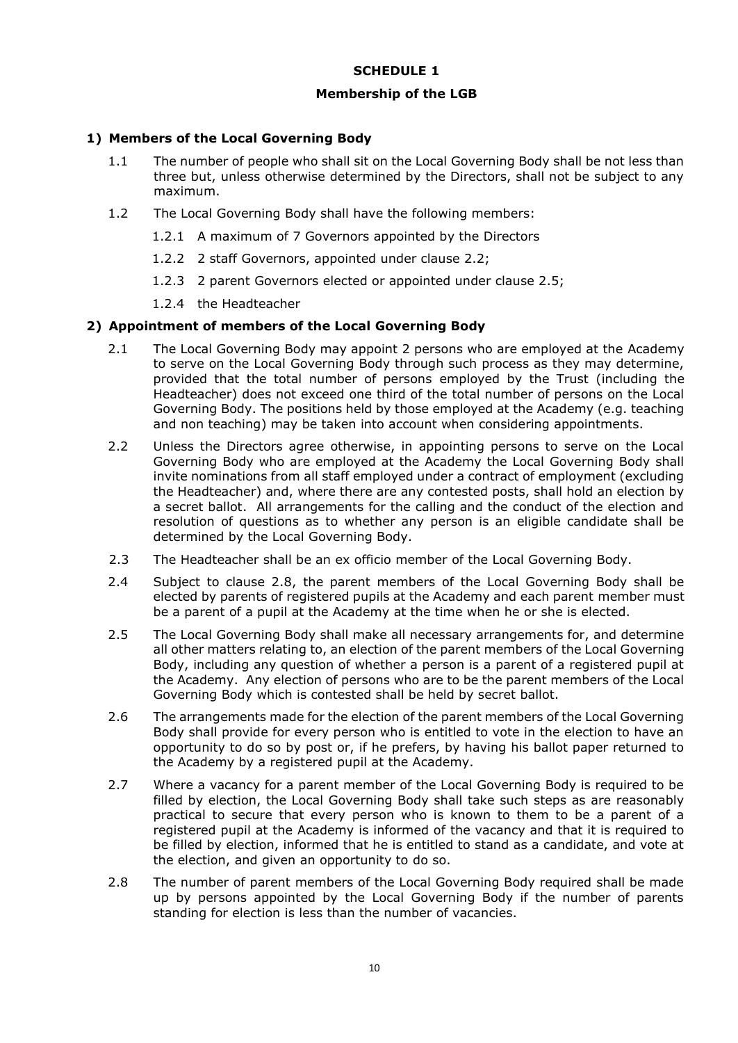# **SCHEDULE 1**

#### **Membership of the LGB**

# **1) Members of the Local Governing Body**

- 1.1 The number of people who shall sit on the Local Governing Body shall be not less than three but, unless otherwise determined by the Directors, shall not be subject to any maximum.
- 1.2 The Local Governing Body shall have the following members:
	- 1.2.1 A maximum of 7 Governors appointed by the Directors
	- 1.2.2 2 staff Governors, appointed under clause 2.2;
	- 1.2.3 2 parent Governors elected or appointed under clause 2.5;
	- 1.2.4 the Headteacher

#### **2) Appointment of members of the Local Governing Body**

- 2.1 The Local Governing Body may appoint 2 persons who are employed at the Academy to serve on the Local Governing Body through such process as they may determine, provided that the total number of persons employed by the Trust (including the Headteacher) does not exceed one third of the total number of persons on the Local Governing Body. The positions held by those employed at the Academy (e.g. teaching and non teaching) may be taken into account when considering appointments.
- 2.2 Unless the Directors agree otherwise, in appointing persons to serve on the Local Governing Body who are employed at the Academy the Local Governing Body shall invite nominations from all staff employed under a contract of employment (excluding the Headteacher) and, where there are any contested posts, shall hold an election by a secret ballot. All arrangements for the calling and the conduct of the election and resolution of questions as to whether any person is an eligible candidate shall be determined by the Local Governing Body.
- 2.3 The Headteacher shall be an ex officio member of the Local Governing Body.
- 2.4 Subject to clause 2.8, the parent members of the Local Governing Body shall be elected by parents of registered pupils at the Academy and each parent member must be a parent of a pupil at the Academy at the time when he or she is elected.
- 2.5 The Local Governing Body shall make all necessary arrangements for, and determine all other matters relating to, an election of the parent members of the Local Governing Body, including any question of whether a person is a parent of a registered pupil at the Academy. Any election of persons who are to be the parent members of the Local Governing Body which is contested shall be held by secret ballot.
- 2.6 The arrangements made for the election of the parent members of the Local Governing Body shall provide for every person who is entitled to vote in the election to have an opportunity to do so by post or, if he prefers, by having his ballot paper returned to the Academy by a registered pupil at the Academy.
- 2.7 Where a vacancy for a parent member of the Local Governing Body is required to be filled by election, the Local Governing Body shall take such steps as are reasonably practical to secure that every person who is known to them to be a parent of a registered pupil at the Academy is informed of the vacancy and that it is required to be filled by election, informed that he is entitled to stand as a candidate, and vote at the election, and given an opportunity to do so.
- 2.8 The number of parent members of the Local Governing Body required shall be made up by persons appointed by the Local Governing Body if the number of parents standing for election is less than the number of vacancies.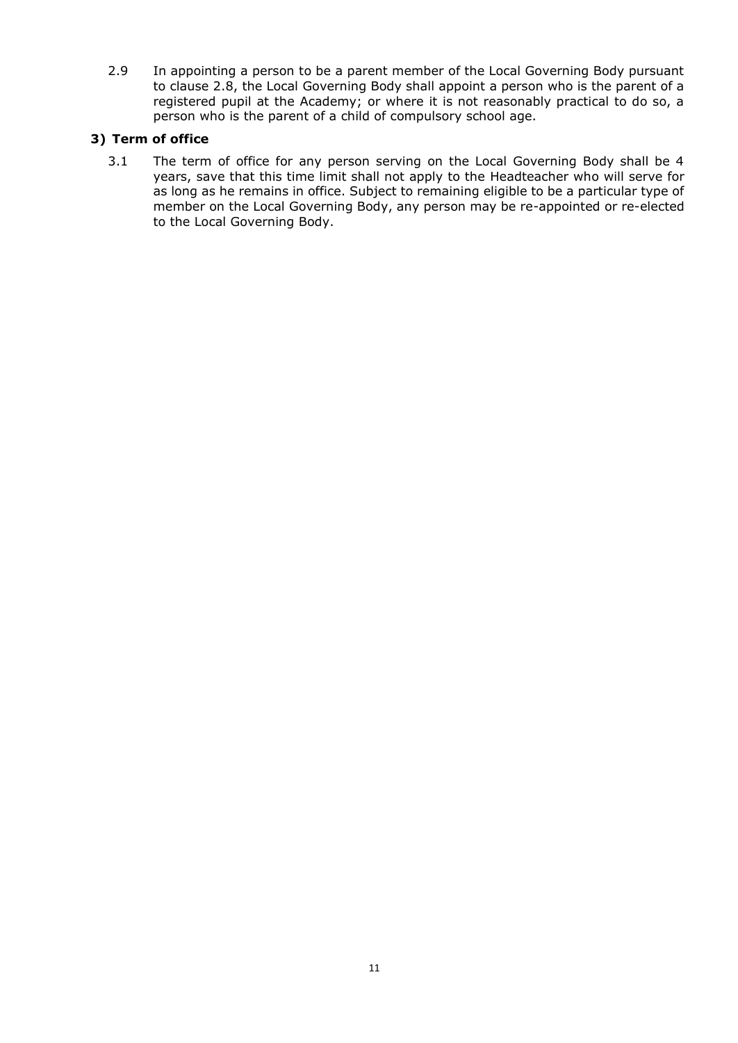2.9 In appointing a person to be a parent member of the Local Governing Body pursuant to clause 2.8, the Local Governing Body shall appoint a person who is the parent of a registered pupil at the Academy; or where it is not reasonably practical to do so, a person who is the parent of a child of compulsory school age.

# **3) Term of office**

3.1 The term of office for any person serving on the Local Governing Body shall be 4 years, save that this time limit shall not apply to the Headteacher who will serve for as long as he remains in office. Subject to remaining eligible to be a particular type of member on the Local Governing Body, any person may be re-appointed or re-elected to the Local Governing Body.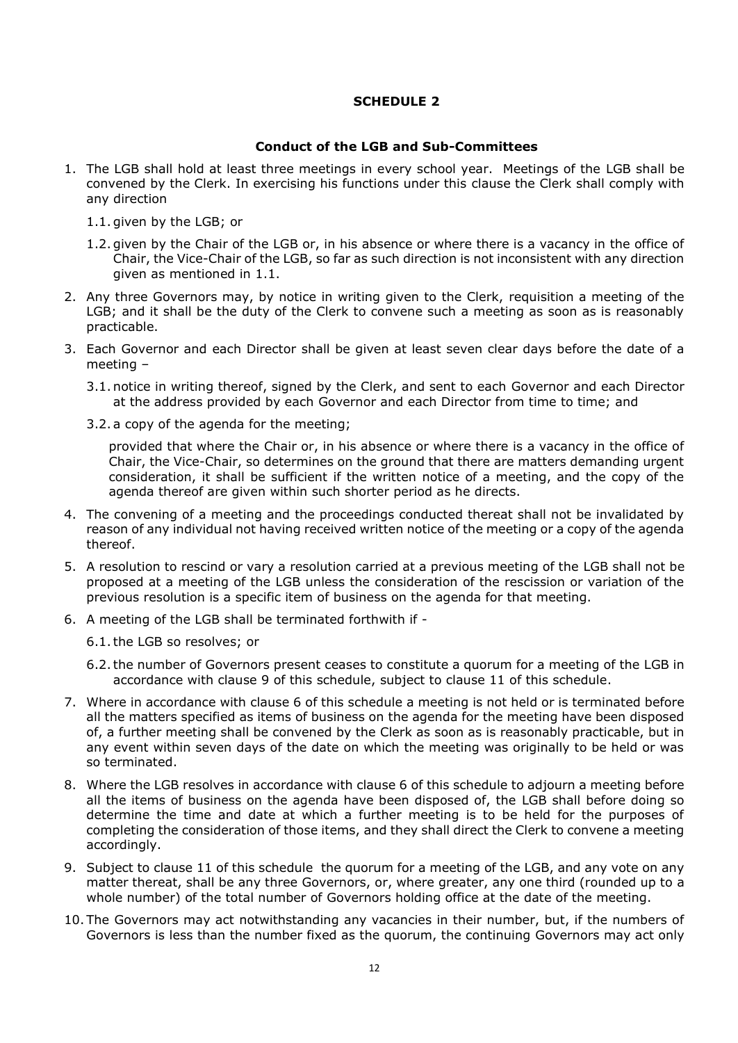# **SCHEDULE 2**

#### **Conduct of the LGB and Sub-Committees**

- 1. The LGB shall hold at least three meetings in every school year. Meetings of the LGB shall be convened by the Clerk. In exercising his functions under this clause the Clerk shall comply with any direction
	- 1.1. given by the LGB; or
	- 1.2. given by the Chair of the LGB or, in his absence or where there is a vacancy in the office of Chair, the Vice-Chair of the LGB, so far as such direction is not inconsistent with any direction given as mentioned in 1.1.
- 2. Any three Governors may, by notice in writing given to the Clerk, requisition a meeting of the LGB; and it shall be the duty of the Clerk to convene such a meeting as soon as is reasonably practicable.
- 3. Each Governor and each Director shall be given at least seven clear days before the date of a meeting –
	- 3.1. notice in writing thereof, signed by the Clerk, and sent to each Governor and each Director at the address provided by each Governor and each Director from time to time; and
	- 3.2. a copy of the agenda for the meeting;

provided that where the Chair or, in his absence or where there is a vacancy in the office of Chair, the Vice-Chair, so determines on the ground that there are matters demanding urgent consideration, it shall be sufficient if the written notice of a meeting, and the copy of the agenda thereof are given within such shorter period as he directs.

- 4. The convening of a meeting and the proceedings conducted thereat shall not be invalidated by reason of any individual not having received written notice of the meeting or a copy of the agenda thereof.
- 5. A resolution to rescind or vary a resolution carried at a previous meeting of the LGB shall not be proposed at a meeting of the LGB unless the consideration of the rescission or variation of the previous resolution is a specific item of business on the agenda for that meeting.
- 6. A meeting of the LGB shall be terminated forthwith if
	- 6.1.the LGB so resolves; or
	- 6.2.the number of Governors present ceases to constitute a quorum for a meeting of the LGB in accordance with clause 9 of this schedule, subject to clause 11 of this schedule.
- 7. Where in accordance with clause 6 of this schedule a meeting is not held or is terminated before all the matters specified as items of business on the agenda for the meeting have been disposed of, a further meeting shall be convened by the Clerk as soon as is reasonably practicable, but in any event within seven days of the date on which the meeting was originally to be held or was so terminated.
- 8. Where the LGB resolves in accordance with clause 6 of this schedule to adjourn a meeting before all the items of business on the agenda have been disposed of, the LGB shall before doing so determine the time and date at which a further meeting is to be held for the purposes of completing the consideration of those items, and they shall direct the Clerk to convene a meeting accordingly.
- 9. Subject to clause 11 of this schedule the quorum for a meeting of the LGB, and any vote on any matter thereat, shall be any three Governors, or, where greater, any one third (rounded up to a whole number) of the total number of Governors holding office at the date of the meeting.
- 10. The Governors may act notwithstanding any vacancies in their number, but, if the numbers of Governors is less than the number fixed as the quorum, the continuing Governors may act only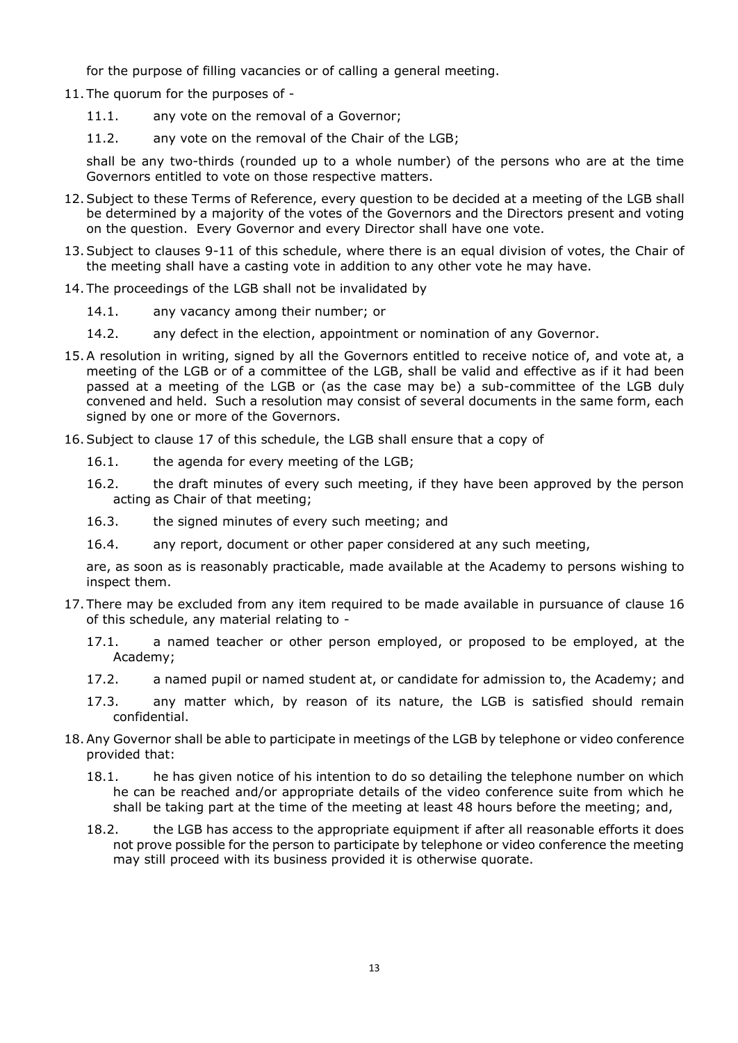for the purpose of filling vacancies or of calling a general meeting.

- 11. The quorum for the purposes of
	- 11.1. any vote on the removal of a Governor;
	- 11.2. any vote on the removal of the Chair of the LGB;

shall be any two-thirds (rounded up to a whole number) of the persons who are at the time Governors entitled to vote on those respective matters.

- 12.Subject to these Terms of Reference, every question to be decided at a meeting of the LGB shall be determined by a majority of the votes of the Governors and the Directors present and voting on the question. Every Governor and every Director shall have one vote.
- 13.Subject to clauses 9-11 of this schedule, where there is an equal division of votes, the Chair of the meeting shall have a casting vote in addition to any other vote he may have.
- 14. The proceedings of the LGB shall not be invalidated by
	- 14.1. any vacancy among their number; or
	- 14.2. any defect in the election, appointment or nomination of any Governor.
- 15.A resolution in writing, signed by all the Governors entitled to receive notice of, and vote at, a meeting of the LGB or of a committee of the LGB, shall be valid and effective as if it had been passed at a meeting of the LGB or (as the case may be) a sub-committee of the LGB duly convened and held. Such a resolution may consist of several documents in the same form, each signed by one or more of the Governors.
- 16.Subject to clause 17 of this schedule, the LGB shall ensure that a copy of
	- 16.1. the agenda for every meeting of the LGB;
	- 16.2. the draft minutes of every such meeting, if they have been approved by the person acting as Chair of that meeting;
	- 16.3. the signed minutes of every such meeting; and
	- 16.4. any report, document or other paper considered at any such meeting,

are, as soon as is reasonably practicable, made available at the Academy to persons wishing to inspect them.

- 17. There may be excluded from any item required to be made available in pursuance of clause 16 of this schedule, any material relating to -
	- 17.1. a named teacher or other person employed, or proposed to be employed, at the Academy;
	- 17.2. a named pupil or named student at, or candidate for admission to, the Academy; and
	- 17.3. any matter which, by reason of its nature, the LGB is satisfied should remain confidential.
- 18.Any Governor shall be able to participate in meetings of the LGB by telephone or video conference provided that:
	- 18.1. he has given notice of his intention to do so detailing the telephone number on which he can be reached and/or appropriate details of the video conference suite from which he shall be taking part at the time of the meeting at least 48 hours before the meeting; and,
	- 18.2. the LGB has access to the appropriate equipment if after all reasonable efforts it does not prove possible for the person to participate by telephone or video conference the meeting may still proceed with its business provided it is otherwise quorate.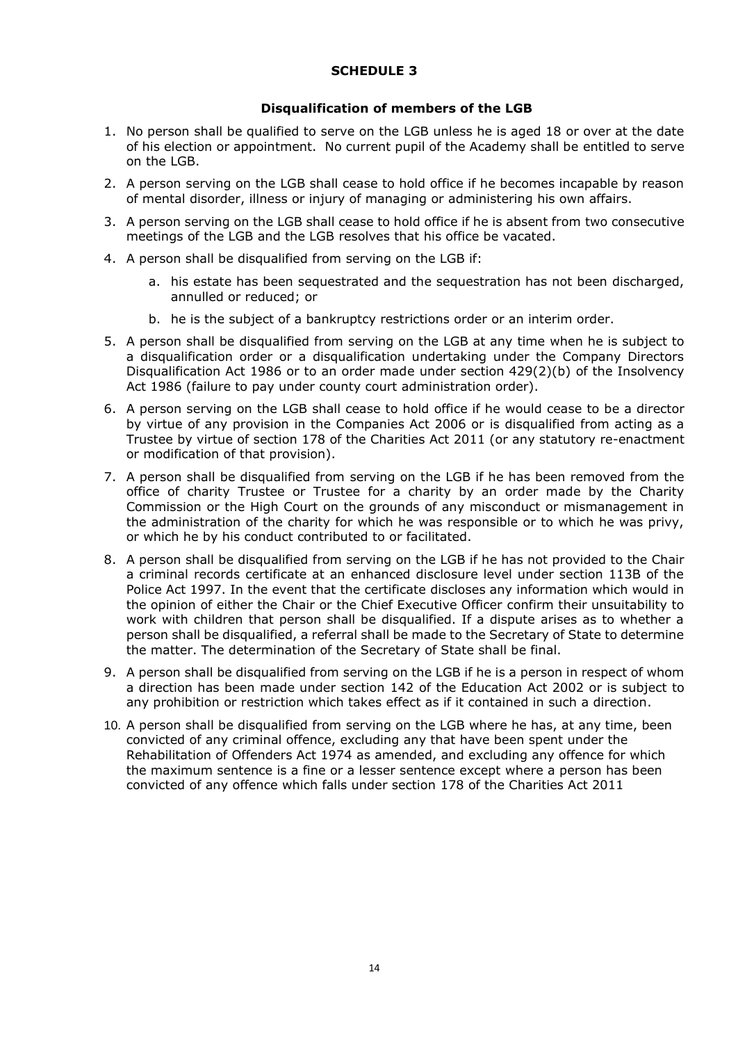# **SCHEDULE 3**

#### **Disqualification of members of the LGB**

- 1. No person shall be qualified to serve on the LGB unless he is aged 18 or over at the date of his election or appointment. No current pupil of the Academy shall be entitled to serve on the LGB.
- 2. A person serving on the LGB shall cease to hold office if he becomes incapable by reason of mental disorder, illness or injury of managing or administering his own affairs.
- 3. A person serving on the LGB shall cease to hold office if he is absent from two consecutive meetings of the LGB and the LGB resolves that his office be vacated.
- 4. A person shall be disqualified from serving on the LGB if:
	- a. his estate has been sequestrated and the sequestration has not been discharged, annulled or reduced; or
	- b. he is the subject of a bankruptcy restrictions order or an interim order.
- 5. A person shall be disqualified from serving on the LGB at any time when he is subject to a disqualification order or a disqualification undertaking under the Company Directors Disqualification Act 1986 or to an order made under section 429(2)(b) of the Insolvency Act 1986 (failure to pay under county court administration order).
- 6. A person serving on the LGB shall cease to hold office if he would cease to be a director by virtue of any provision in the Companies Act 2006 or is disqualified from acting as a Trustee by virtue of section 178 of the Charities Act 2011 (or any statutory re-enactment or modification of that provision).
- 7. A person shall be disqualified from serving on the LGB if he has been removed from the office of charity Trustee or Trustee for a charity by an order made by the Charity Commission or the High Court on the grounds of any misconduct or mismanagement in the administration of the charity for which he was responsible or to which he was privy, or which he by his conduct contributed to or facilitated.
- 8. A person shall be disqualified from serving on the LGB if he has not provided to the Chair a criminal records certificate at an enhanced disclosure level under section 113B of the Police Act 1997. In the event that the certificate discloses any information which would in the opinion of either the Chair or the Chief Executive Officer confirm their unsuitability to work with children that person shall be disqualified. If a dispute arises as to whether a person shall be disqualified, a referral shall be made to the Secretary of State to determine the matter. The determination of the Secretary of State shall be final.
- 9. A person shall be disqualified from serving on the LGB if he is a person in respect of whom a direction has been made under section 142 of the Education Act 2002 or is subject to any prohibition or restriction which takes effect as if it contained in such a direction.
- 10. A person shall be disqualified from serving on the LGB where he has, at any time, been convicted of any criminal offence, excluding any that have been spent under the Rehabilitation of Offenders Act 1974 as amended, and excluding any offence for which the maximum sentence is a fine or a lesser sentence except where a person has been convicted of any offence which falls under section 178 of the Charities Act 2011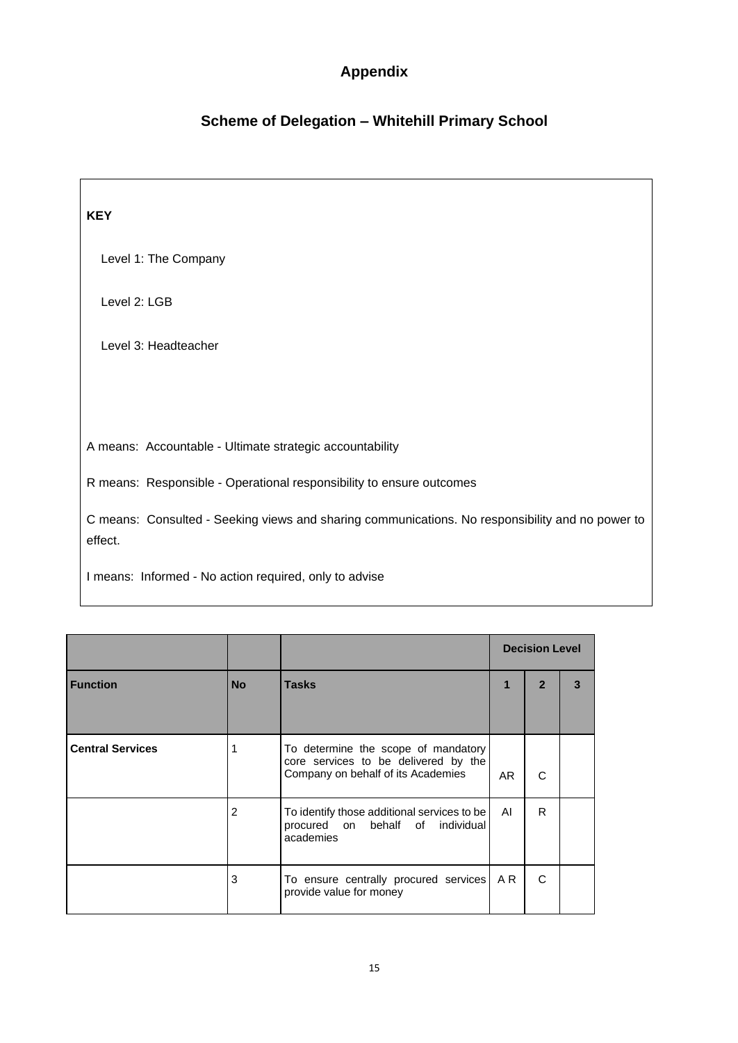# **Appendix**

# **Scheme of Delegation – Whitehill Primary School**

| <b>KEY</b>                                                                                                  |
|-------------------------------------------------------------------------------------------------------------|
| Level 1: The Company                                                                                        |
| Level 2: LGB                                                                                                |
| Level 3: Headteacher                                                                                        |
|                                                                                                             |
| A means: Accountable - Ultimate strategic accountability                                                    |
| R means: Responsible - Operational responsibility to ensure outcomes                                        |
| C means: Consulted - Seeking views and sharing communications. No responsibility and no power to<br>effect. |
| I means: Informed - No action required, only to advise                                                      |

|                         |           |                                                                                                                   | <b>Decision Level</b> |   |   |
|-------------------------|-----------|-------------------------------------------------------------------------------------------------------------------|-----------------------|---|---|
| <b>Function</b>         | <b>No</b> | <b>Tasks</b>                                                                                                      | 1                     | 2 | 3 |
| <b>Central Services</b> | 1         | To determine the scope of mandatory<br>core services to be delivered by the<br>Company on behalf of its Academies | AR.                   | C |   |
|                         | 2         | To identify those additional services to be<br>procured on behalf of individual<br>academies                      | AI                    | R |   |
|                         | 3         | To ensure centrally procured services<br>provide value for money                                                  | A R                   | C |   |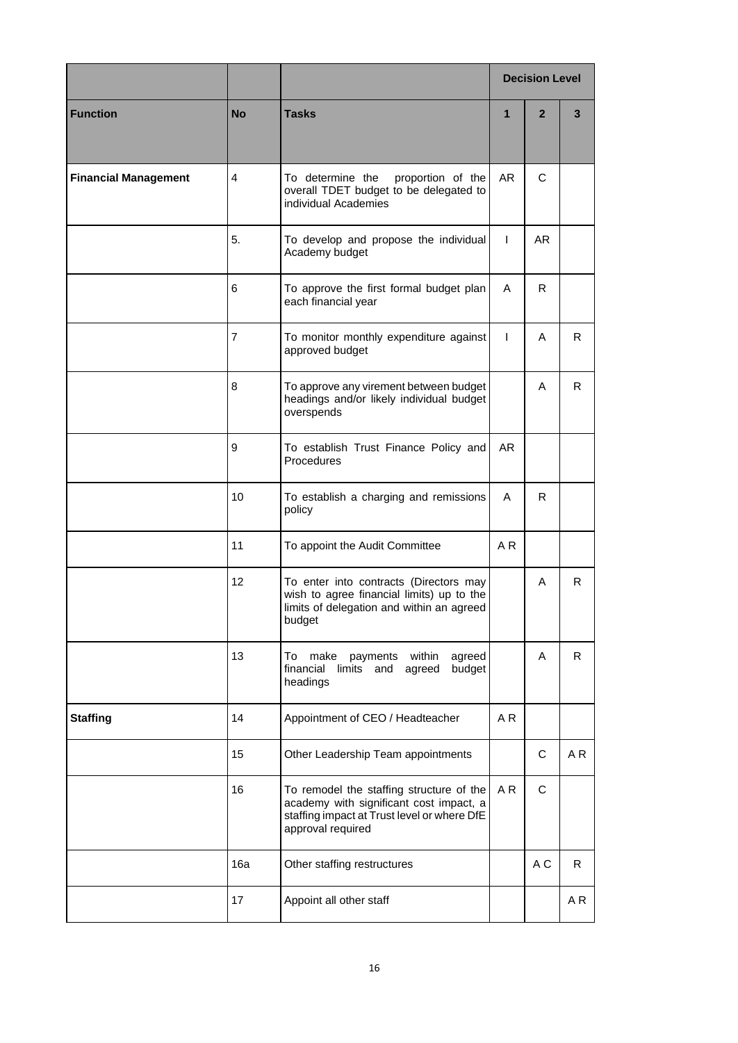|                             |           |                                                                                                                                                         |                | <b>Decision Level</b> |    |
|-----------------------------|-----------|---------------------------------------------------------------------------------------------------------------------------------------------------------|----------------|-----------------------|----|
| <b>Function</b>             | <b>No</b> | <b>Tasks</b>                                                                                                                                            | $\mathbf{1}$   | $\overline{2}$        | 3  |
| <b>Financial Management</b> | 4         | To determine the<br>proportion of the<br>overall TDET budget to be delegated to<br>individual Academies                                                 | AR             | C                     |    |
|                             | 5.        | To develop and propose the individual<br>Academy budget                                                                                                 | $\mathbf{I}$   | AR.                   |    |
|                             | 6         | To approve the first formal budget plan<br>each financial year                                                                                          | A              | R.                    |    |
|                             | 7         | To monitor monthly expenditure against<br>approved budget                                                                                               | $\mathbf{I}$   | A                     | R. |
|                             | 8         | To approve any virement between budget<br>headings and/or likely individual budget<br>overspends                                                        |                | A                     | R  |
|                             | 9         | To establish Trust Finance Policy and<br>Procedures                                                                                                     | <b>AR</b>      |                       |    |
|                             | 10        | To establish a charging and remissions<br>policy                                                                                                        | A              | R.                    |    |
|                             | 11        | To appoint the Audit Committee                                                                                                                          | A <sub>R</sub> |                       |    |
|                             | 12        | To enter into contracts (Directors may<br>wish to agree financial limits) up to the<br>limits of delegation and within an agreed<br>budget              |                | A                     | R. |
|                             | 13        | To<br>make<br>payments<br>within<br>agreed<br>financial<br>limits<br>budget<br>and<br>agreed<br>headings                                                |                | A                     | R. |
| <b>Staffing</b>             | 14        | Appointment of CEO / Headteacher                                                                                                                        | A R            |                       |    |
|                             | 15        | Other Leadership Team appointments                                                                                                                      |                | C                     | AR |
|                             | 16        | To remodel the staffing structure of the<br>academy with significant cost impact, a<br>staffing impact at Trust level or where DfE<br>approval required | A R            | C                     |    |
|                             | 16a       | Other staffing restructures                                                                                                                             |                | A C                   | R  |
|                             | 17        | Appoint all other staff                                                                                                                                 |                |                       | AR |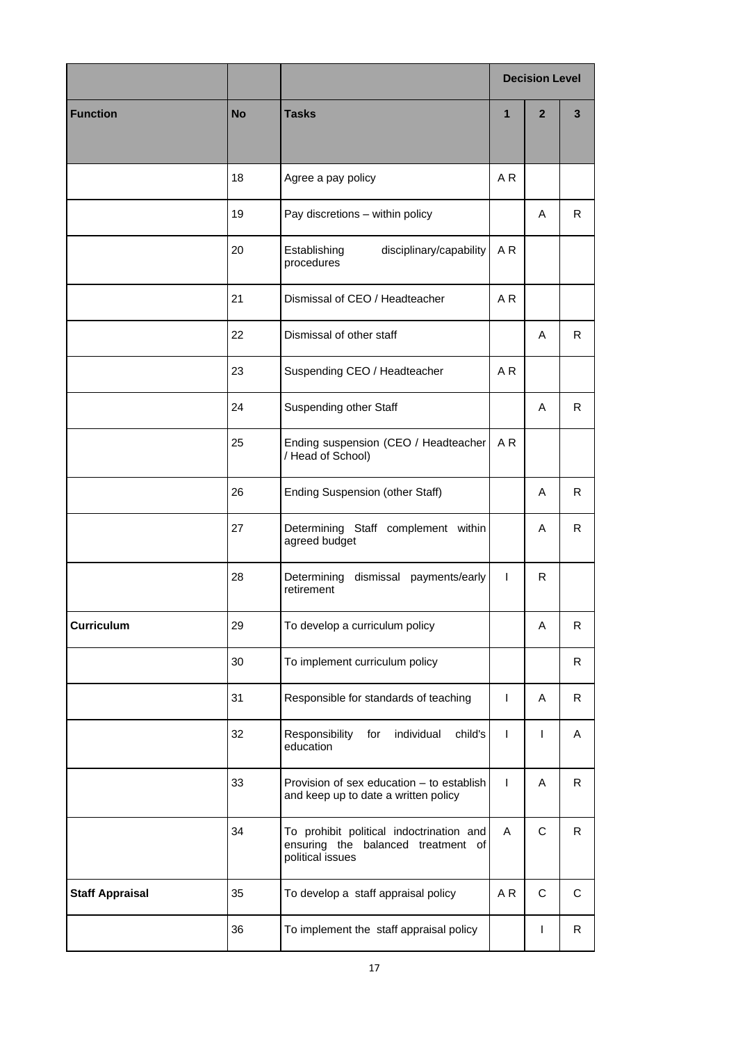|                        |           |                                                                                                    | <b>Decision Level</b> |                |             |
|------------------------|-----------|----------------------------------------------------------------------------------------------------|-----------------------|----------------|-------------|
| <b>Function</b>        | <b>No</b> | <b>Tasks</b>                                                                                       | $\mathbf{1}$          | $\overline{2}$ | 3           |
|                        | 18        | Agree a pay policy                                                                                 | AR                    |                |             |
|                        | 19        | Pay discretions - within policy                                                                    |                       | A              | R.          |
|                        | 20        | Establishing<br>disciplinary/capability<br>procedures                                              | A <sub>R</sub>        |                |             |
|                        | 21        | Dismissal of CEO / Headteacher                                                                     | AR                    |                |             |
|                        | 22        | Dismissal of other staff                                                                           |                       | A              | R.          |
|                        | 23        | Suspending CEO / Headteacher                                                                       | A <sub>R</sub>        |                |             |
|                        | 24        | Suspending other Staff                                                                             |                       | A              | R.          |
|                        | 25        | Ending suspension (CEO / Headteacher<br>/ Head of School)                                          | A <sub>R</sub>        |                |             |
|                        | 26        | <b>Ending Suspension (other Staff)</b>                                                             |                       | A              | R.          |
|                        | 27        | Determining Staff complement within<br>agreed budget                                               |                       | A              | R.          |
|                        | 28        | dismissal payments/early<br>Determining<br>retirement                                              | $\mathsf{I}$          | R.             |             |
| <b>Curriculum</b>      | 29        | To develop a curriculum policy                                                                     |                       | Α              | R           |
|                        | 30        | To implement curriculum policy                                                                     |                       |                | R           |
|                        | 31        | Responsible for standards of teaching                                                              | $\mathsf{I}$          | Α              | R           |
|                        | 32        | individual<br>child's<br>Responsibility<br>for<br>education                                        | $\mathsf{I}$          | I              | Α           |
|                        | 33        | Provision of sex education - to establish<br>and keep up to date a written policy                  | $\mathsf{I}$          | A              | R.          |
|                        | 34        | To prohibit political indoctrination and<br>ensuring the balanced treatment of<br>political issues | Α                     | $\mathsf C$    | R           |
| <b>Staff Appraisal</b> | 35        | To develop a staff appraisal policy                                                                | AR                    | $\mathbf C$    | $\mathbf C$ |
|                        | 36        | To implement the staff appraisal policy                                                            |                       | I              | R           |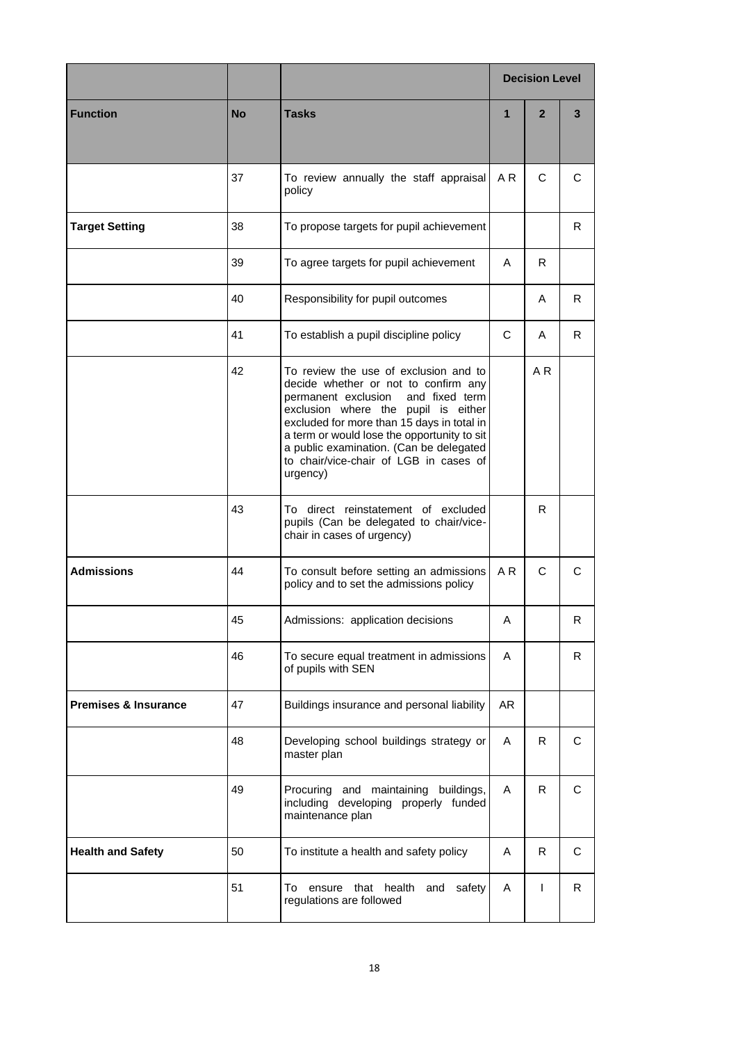|                                 |           |                                                                                                                                                                                                                                                                                                                                                             |                | <b>Decision Level</b> |    |
|---------------------------------|-----------|-------------------------------------------------------------------------------------------------------------------------------------------------------------------------------------------------------------------------------------------------------------------------------------------------------------------------------------------------------------|----------------|-----------------------|----|
| <b>Function</b>                 | <b>No</b> | <b>Tasks</b>                                                                                                                                                                                                                                                                                                                                                | $\mathbf{1}$   | $\overline{2}$        | 3  |
|                                 | 37        | To review annually the staff appraisal<br>policy                                                                                                                                                                                                                                                                                                            | AR             | C                     | С  |
| <b>Target Setting</b>           | 38        | To propose targets for pupil achievement                                                                                                                                                                                                                                                                                                                    |                |                       | R  |
|                                 | 39        | To agree targets for pupil achievement                                                                                                                                                                                                                                                                                                                      | A              | R                     |    |
|                                 | 40        | Responsibility for pupil outcomes                                                                                                                                                                                                                                                                                                                           |                | A                     | R. |
|                                 | 41        | To establish a pupil discipline policy                                                                                                                                                                                                                                                                                                                      | C              | A                     | R. |
|                                 | 42        | To review the use of exclusion and to<br>decide whether or not to confirm any<br>and fixed term<br>permanent exclusion<br>exclusion where the pupil is either<br>excluded for more than 15 days in total in<br>a term or would lose the opportunity to sit<br>a public examination. (Can be delegated<br>to chair/vice-chair of LGB in cases of<br>urgency) |                | A <sub>R</sub>        |    |
|                                 | 43        | To direct reinstatement of excluded<br>pupils (Can be delegated to chair/vice-<br>chair in cases of urgency)                                                                                                                                                                                                                                                |                | R                     |    |
| <b>Admissions</b>               | 44        | To consult before setting an admissions<br>policy and to set the admissions policy                                                                                                                                                                                                                                                                          | A <sub>R</sub> | C                     | C  |
|                                 | 45        | Admissions: application decisions                                                                                                                                                                                                                                                                                                                           | Α              |                       | R  |
|                                 | 46        | To secure equal treatment in admissions<br>of pupils with SEN                                                                                                                                                                                                                                                                                               | A              |                       | R. |
| <b>Premises &amp; Insurance</b> | 47        | Buildings insurance and personal liability                                                                                                                                                                                                                                                                                                                  | AR             |                       |    |
|                                 | 48        | Developing school buildings strategy or<br>master plan                                                                                                                                                                                                                                                                                                      | A              | R                     | C  |
|                                 | 49        | Procuring and maintaining buildings,<br>including developing properly funded<br>maintenance plan                                                                                                                                                                                                                                                            | A              | R.                    | C  |
| <b>Health and Safety</b>        | 50        | To institute a health and safety policy                                                                                                                                                                                                                                                                                                                     | A              | R.                    | C  |
|                                 | 51        | ensure that health<br>To<br>and<br>safety<br>regulations are followed                                                                                                                                                                                                                                                                                       | A              | $\mathsf{I}$          | R. |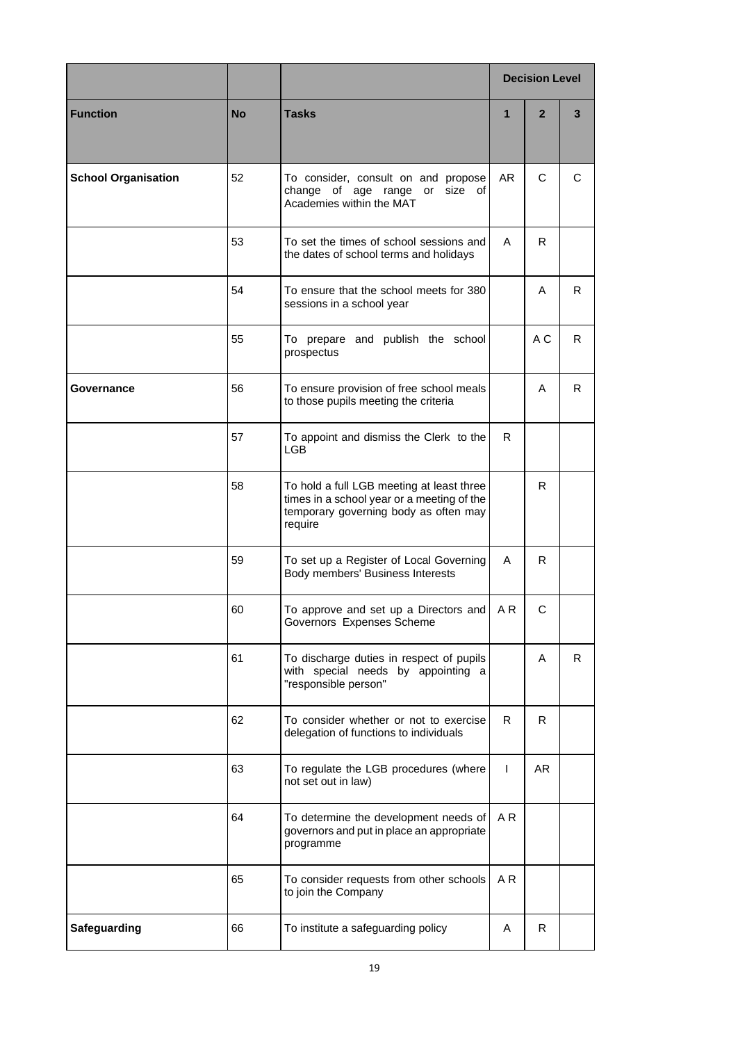|                            |           |                                                                                                                                             | <b>Decision Level</b> |                |    |
|----------------------------|-----------|---------------------------------------------------------------------------------------------------------------------------------------------|-----------------------|----------------|----|
| <b>Function</b>            | <b>No</b> | <b>Tasks</b>                                                                                                                                | $\mathbf{1}$          | $\overline{2}$ | 3  |
| <b>School Organisation</b> | 52        | To consider, consult on and propose<br>change of age range or<br>size of<br>Academies within the MAT                                        | AR.                   | C              | C  |
|                            | 53        | To set the times of school sessions and<br>the dates of school terms and holidays                                                           | A                     | R              |    |
|                            | 54        | To ensure that the school meets for 380<br>sessions in a school year                                                                        |                       | A              | R  |
|                            | 55        | To prepare and publish the school<br>prospectus                                                                                             |                       | A C            | R  |
| Governance                 | 56        | To ensure provision of free school meals<br>to those pupils meeting the criteria                                                            |                       | A              | R. |
|                            | 57        | To appoint and dismiss the Clerk to the<br>LGB.                                                                                             | R.                    |                |    |
|                            | 58        | To hold a full LGB meeting at least three<br>times in a school year or a meeting of the<br>temporary governing body as often may<br>require |                       | R.             |    |
|                            | 59        | To set up a Register of Local Governing<br>Body members' Business Interests                                                                 | A                     | R.             |    |
|                            | 60        | To approve and set up a Directors and<br>Governors Expenses Scheme                                                                          | A R                   | C              |    |
|                            | 61        | To discharge duties in respect of pupils<br>with special needs by appointing a<br>"responsible person"                                      |                       | A              | R  |
|                            | 62        | To consider whether or not to exercise<br>delegation of functions to individuals                                                            | R                     | R              |    |
|                            | 63        | To regulate the LGB procedures (where<br>not set out in law)                                                                                | $\mathsf{I}$          | AR.            |    |
|                            | 64        | To determine the development needs of<br>governors and put in place an appropriate<br>programme                                             | A R                   |                |    |
|                            | 65        | To consider requests from other schools<br>to join the Company                                                                              | A <sub>R</sub>        |                |    |
| <b>Safeguarding</b>        | 66        | To institute a safeguarding policy                                                                                                          | A                     | R.             |    |